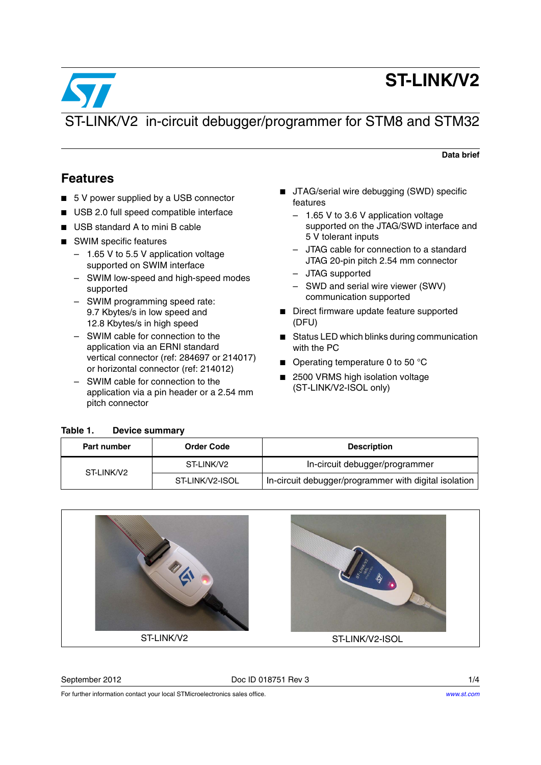# **ST-LINK/V2**

# ST-LINK/V2 in-circuit debugger/programmer for STM8 and STM32

#### **Data brief**

### **Features**

- 5 V power supplied by a USB connector
- USB 2.0 full speed compatible interface
- USB standard A to mini B cable
- SWIM specific features
	- 1.65 V to 5.5 V application voltage supported on SWIM interface
	- SWIM low-speed and high-speed modes supported
	- SWIM programming speed rate: 9.7 Kbytes/s in low speed and 12.8 Kbytes/s in high speed
	- SWIM cable for connection to the application via an ERNI standard vertical connector (ref: 284697 or 214017) or horizontal connector (ref: 214012)
	- SWIM cable for connection to the application via a pin header or a 2.54 mm pitch connector
- JTAG/serial wire debugging (SWD) specific features
	- 1.65 V to 3.6 V application voltage supported on the JTAG/SWD interface and 5 V tolerant inputs
	- JTAG cable for connection to a standard JTAG 20-pin pitch 2.54 mm connector
	- JTAG supported
	- SWD and serial wire viewer (SWV) communication supported
- Direct firmware update feature supported (DFU)
- Status LED which blinks during communication with the PC
- Operating temperature 0 to 50 °C
- 2500 VRMS high isolation voltage (ST-LINK/V2-ISOL only)

#### **Table 1. Device summary**

| <b>Part number</b> | <b>Order Code</b> | <b>Description</b>                                    |
|--------------------|-------------------|-------------------------------------------------------|
| ST-LINK/V2         | ST-LINK/V2        | In-circuit debugger/programmer                        |
|                    | ST-LINK/V2-ISOL   | In-circuit debugger/programmer with digital isolation |



For further information contact your local STMicroelectronics sales office.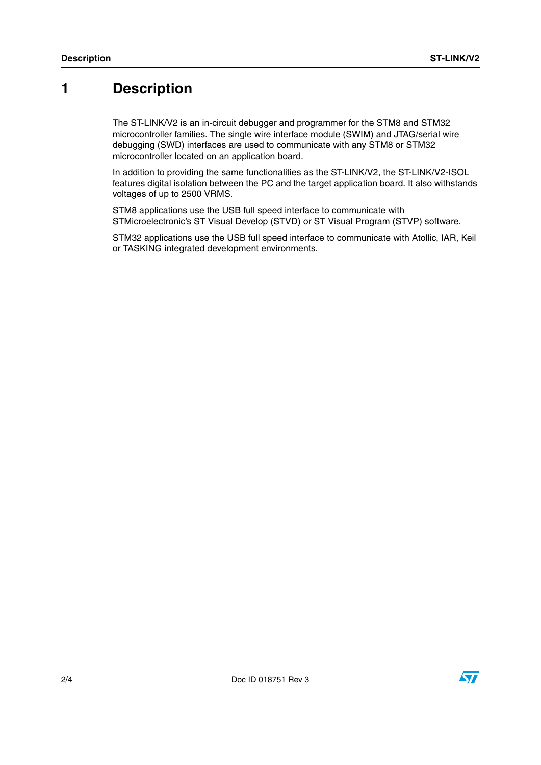## **1 Description**

The ST-LINK/V2 is an in-circuit debugger and programmer for the STM8 and STM32 microcontroller families. The single wire interface module (SWIM) and JTAG/serial wire debugging (SWD) interfaces are used to communicate with any STM8 or STM32 microcontroller located on an application board.

In addition to providing the same functionalities as the ST-LINK/V2, the ST-LINK/V2-ISOL features digital isolation between the PC and the target application board. It also withstands voltages of up to 2500 VRMS.

STM8 applications use the USB full speed interface to communicate with STMicroelectronic's ST Visual Develop (STVD) or ST Visual Program (STVP) software.

STM32 applications use the USB full speed interface to communicate with Atollic, IAR, Keil or TASKING integrated development environments.

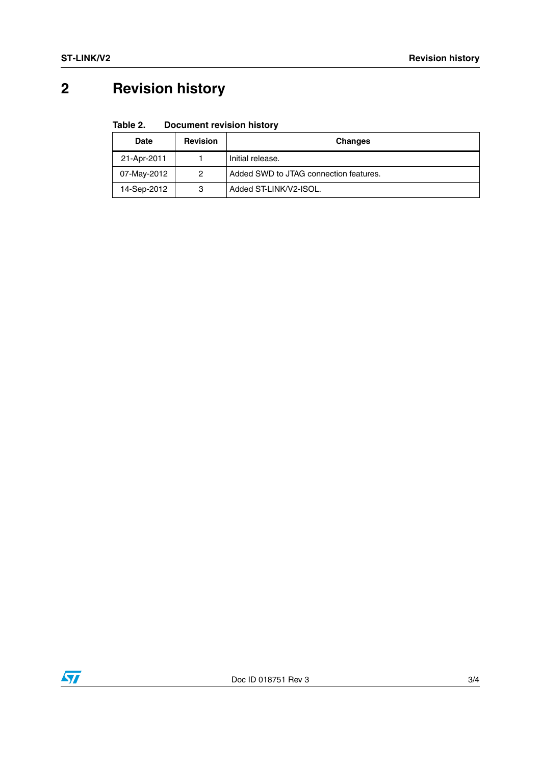## **2 Revision history**

#### Table 2. **Document revision history**

| <b>Date</b> | <b>Revision</b> | <b>Changes</b>                         |
|-------------|-----------------|----------------------------------------|
| 21-Apr-2011 |                 | I Initial release.                     |
| 07-May-2012 | 2               | Added SWD to JTAG connection features. |
| 14-Sep-2012 | 3               | Added ST-LINK/V2-ISOL.                 |